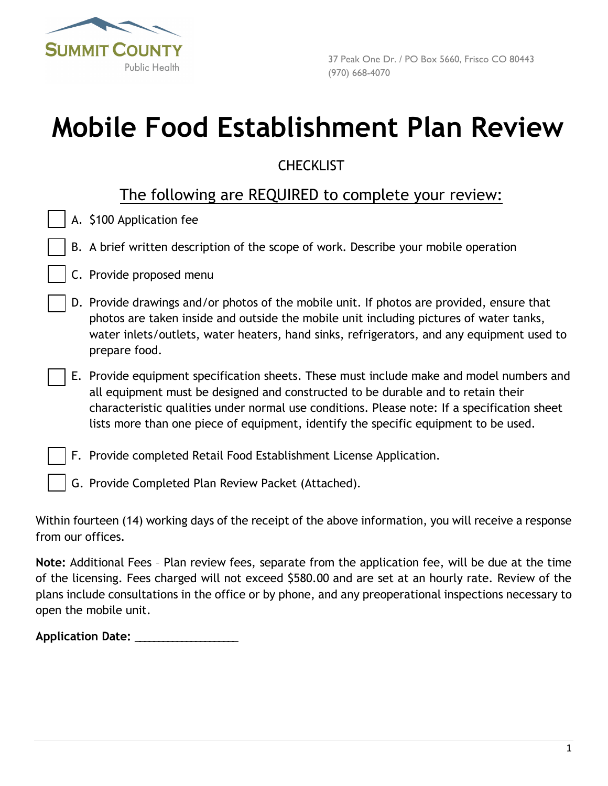

# **Mobile Food Establishment Plan Review**

# **CHECKLIST**

# The following are REQUIRED to complete your review:

|  |  | A. \$100 Application fee |  |
|--|--|--------------------------|--|
|--|--|--------------------------|--|

- B. A brief written description of the scope of work. Describe your mobile operation
- C. Provide proposed menu
- D. Provide drawings and/or photos of the mobile unit. If photos are provided, ensure that photos are taken inside and outside the mobile unit including pictures of water tanks, water inlets/outlets, water heaters, hand sinks, refrigerators, and any equipment used to prepare food.
- E. Provide equipment specification sheets. These must include make and model numbers and all equipment must be designed and constructed to be durable and to retain their characteristic qualities under normal use conditions. Please note: If a specification sheet lists more than one piece of equipment, identify the specific equipment to be used.
	- F. Provide completed Retail Food Establishment License Application.
		- G. Provide Completed Plan Review Packet (Attached).

Within fourteen (14) working days of the receipt of the above information, you will receive a response from our offices.

**Note:** Additional Fees – Plan review fees, separate from the application fee, will be due at the time of the licensing. Fees charged will not exceed \$580.00 and are set at an hourly rate. Review of the plans include consultations in the office or by phone, and any preoperational inspections necessary to open the mobile unit.

**Application Date:** \_\_\_\_\_\_\_\_\_\_\_\_\_\_\_\_\_\_\_\_\_\_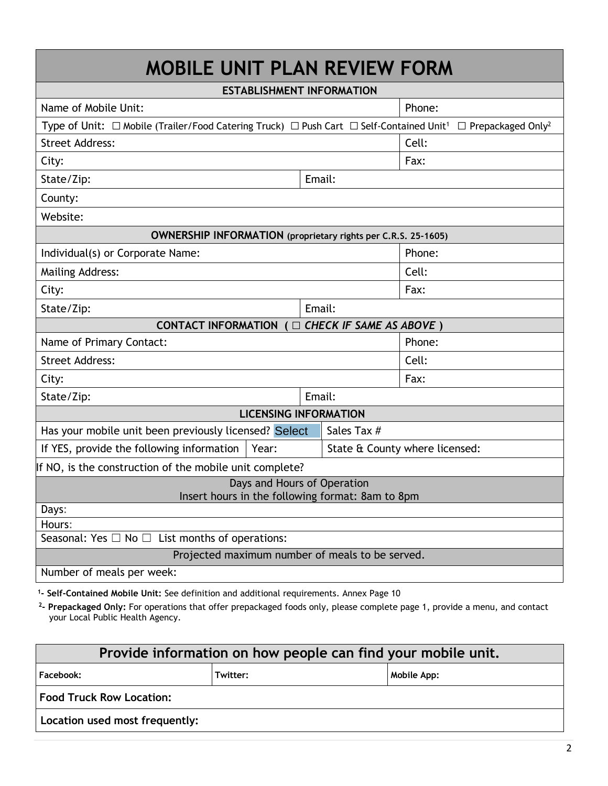| <b>MOBILE UNIT PLAN REVIEW FORM</b>                                                                                |                                  |                                      |  |
|--------------------------------------------------------------------------------------------------------------------|----------------------------------|--------------------------------------|--|
|                                                                                                                    | <b>ESTABLISHMENT INFORMATION</b> |                                      |  |
| Name of Mobile Unit:                                                                                               |                                  | Phone:                               |  |
| Type of Unit: $\Box$ Mobile (Trailer/Food Catering Truck) $\Box$ Push Cart $\Box$ Self-Contained Unit <sup>1</sup> |                                  | $\Box$ Prepackaged Only <sup>2</sup> |  |
| <b>Street Address:</b>                                                                                             |                                  | Cell:                                |  |
| City:                                                                                                              |                                  | Fax:                                 |  |
| State/Zip:                                                                                                         | Email:                           |                                      |  |
| County:                                                                                                            |                                  |                                      |  |
| Website:                                                                                                           |                                  |                                      |  |
| <b>OWNERSHIP INFORMATION</b> (proprietary rights per C.R.S. 25-1605)                                               |                                  |                                      |  |
| Individual(s) or Corporate Name:                                                                                   |                                  | Phone:                               |  |
| <b>Mailing Address:</b>                                                                                            |                                  | Cell:                                |  |
| City:                                                                                                              |                                  | Fax:                                 |  |
| State/Zip:                                                                                                         | Email:                           |                                      |  |
| CONTACT INFORMATION ( $\Box$ CHECK IF SAME AS ABOVE)                                                               |                                  |                                      |  |
| Name of Primary Contact:                                                                                           |                                  | Phone:                               |  |
| <b>Street Address:</b>                                                                                             |                                  | Cell:                                |  |
| City:                                                                                                              |                                  | Fax:                                 |  |
| State/Zip:                                                                                                         | Email:                           |                                      |  |
|                                                                                                                    | <b>LICENSING INFORMATION</b>     |                                      |  |
| Has your mobile unit been previously licensed? Select                                                              | Sales Tax #                      |                                      |  |
| If YES, provide the following information<br>Year:                                                                 |                                  | State & County where licensed:       |  |
| If NO, is the construction of the mobile unit complete?                                                            |                                  |                                      |  |
| Days and Hours of Operation<br>Insert hours in the following format: 8am to 8pm                                    |                                  |                                      |  |
| Days:                                                                                                              |                                  |                                      |  |
| Hours:                                                                                                             |                                  |                                      |  |
| Seasonal: Yes $\Box$ No $\Box$ List months of operations:                                                          |                                  |                                      |  |
| Projected maximum number of meals to be served.<br>Number of meals per week:                                       |                                  |                                      |  |
|                                                                                                                    |                                  |                                      |  |

**<sup>1</sup>- Self-Contained Mobile Unit:** See definition and additional requirements. Annex Page 10

**2 - Prepackaged Only:** For operations that offer prepackaged foods only, please complete page 1, provide a menu, and contact your Local Public Health Agency.

| Provide information on how people can find your mobile unit. |  |  |  |  |  |
|--------------------------------------------------------------|--|--|--|--|--|
| <b>Facebook:</b><br>Mobile App:<br>Twitter:                  |  |  |  |  |  |
| <b>Food Truck Row Location:</b>                              |  |  |  |  |  |
| Location used most frequently:                               |  |  |  |  |  |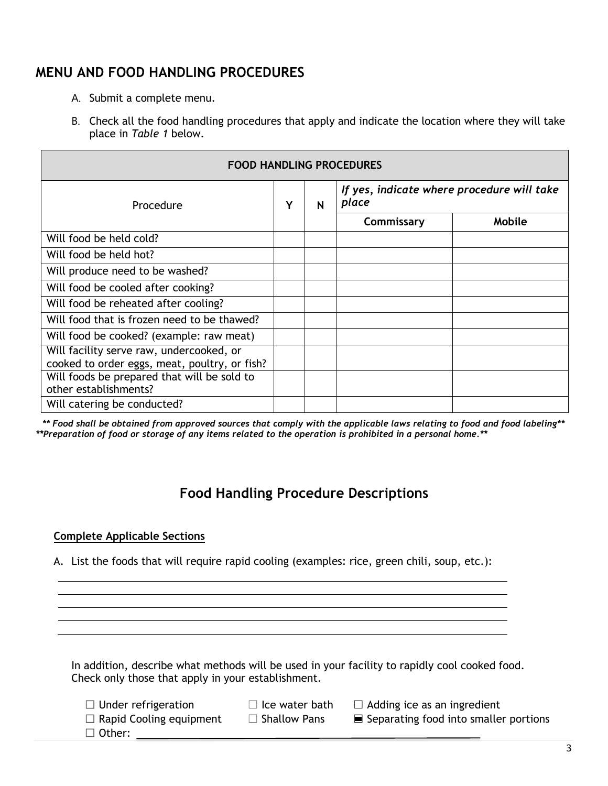## **MENU AND FOOD HANDLING PROCEDURES**

- A. Submit a complete menu.
- B. Check all the food handling procedures that apply and indicate the location where they will take place in *Table 1* below.

| <b>FOOD HANDLING PROCEDURES</b>                                                           |  |   |                                                     |        |
|-------------------------------------------------------------------------------------------|--|---|-----------------------------------------------------|--------|
| Procedure                                                                                 |  | N | If yes, indicate where procedure will take<br>place |        |
|                                                                                           |  |   | Commissary                                          | Mobile |
| Will food be held cold?                                                                   |  |   |                                                     |        |
| Will food be held hot?                                                                    |  |   |                                                     |        |
| Will produce need to be washed?                                                           |  |   |                                                     |        |
| Will food be cooled after cooking?                                                        |  |   |                                                     |        |
| Will food be reheated after cooling?                                                      |  |   |                                                     |        |
| Will food that is frozen need to be thawed?                                               |  |   |                                                     |        |
| Will food be cooked? (example: raw meat)                                                  |  |   |                                                     |        |
| Will facility serve raw, undercooked, or<br>cooked to order eggs, meat, poultry, or fish? |  |   |                                                     |        |
| Will foods be prepared that will be sold to<br>other establishments?                      |  |   |                                                     |        |
| Will catering be conducted?                                                               |  |   |                                                     |        |

*\*\* Food shall be obtained from approved sources that comply with the applicable laws relating to food and food labeling\*\* \*\*Preparation of food or storage of any items related to the operation is prohibited in a personal home.\*\** 

### **Food Handling Procedure Descriptions**

### **Complete Applicable Sections**

A. List the foods that will require rapid cooling (examples: rice, green chili, soup, etc.):

In addition, describe what methods will be used in your facility to rapidly cool cooked food. Check only those that apply in your establishment.

- $\Box$  Under refrigeration
- $\Box$  Ice water bath
- $\Box$  Adding ice as an ingredient

 $\Box$  Rapid Cooling equipment

☐ Other:

- $\Box$  Shallow Pans
- 
- ☐ Separating food into smaller portions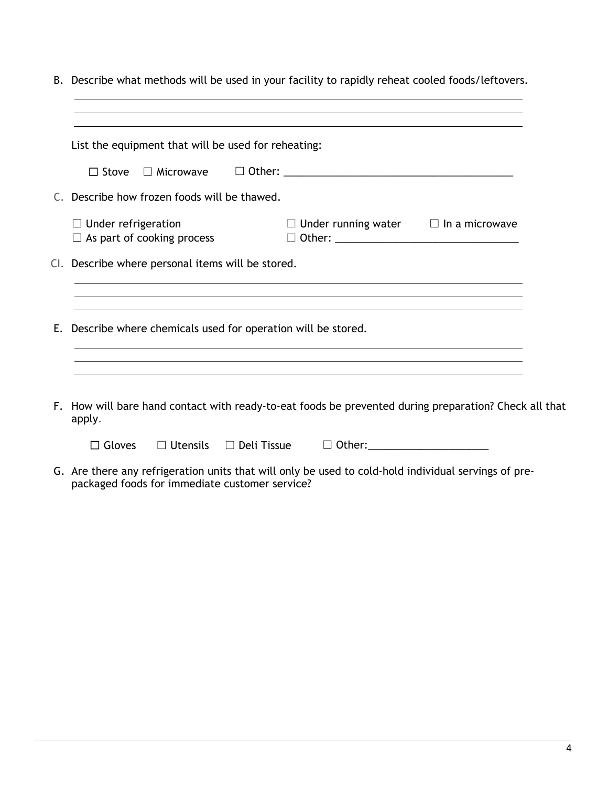| B. Describe what methods will be used in your facility to rapidly reheat cooled foods/leftovers.                    |
|---------------------------------------------------------------------------------------------------------------------|
| List the equipment that will be used for reheating:                                                                 |
| $\Box$ Stove                                                                                                        |
| C. Describe how frozen foods will be thawed.                                                                        |
| $\Box$ Under running water $\Box$ In a microwave<br>$\Box$ Under refrigeration<br>$\Box$ As part of cooking process |
| CI. Describe where personal items will be stored.                                                                   |
| ,我们也不会有什么。""我们的人,我们也不会有什么?""我们的人,我们也不会有什么?""我们的人,我们也不会有什么?""我们的人,我们也不会有什么?""我们的人                                    |
| E. Describe where chemicals used for operation will be stored.                                                      |
|                                                                                                                     |
| F. How will bare hand contact with ready-to-eat foods be prevented during preparation? Check all that<br>apply.     |
| $\Box$ Gloves                                                                                                       |
| G. Are there any refrigeration units that will only be used to cold-hold individual servings of pre-                |

packaged foods for immediate customer service?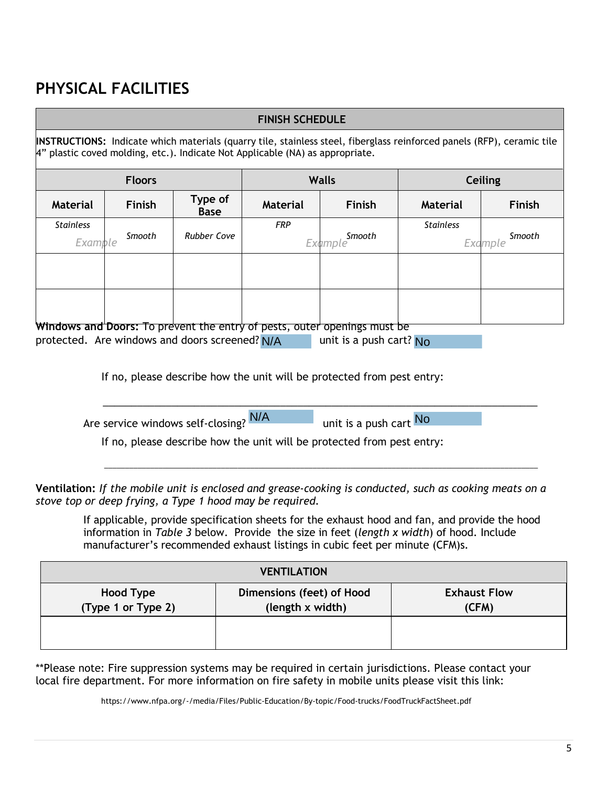# **PHYSICAL FACILITIES**

|                             |               |                                                | <b>FINISH SCHEDULE</b>                                                        |                                                                                                              |                                                                                                                        |                   |
|-----------------------------|---------------|------------------------------------------------|-------------------------------------------------------------------------------|--------------------------------------------------------------------------------------------------------------|------------------------------------------------------------------------------------------------------------------------|-------------------|
|                             |               |                                                | 4" plastic coved molding, etc.). Indicate Not Applicable (NA) as appropriate. |                                                                                                              | INSTRUCTIONS: Indicate which materials (quarry tile, stainless steel, fiberglass reinforced panels (RFP), ceramic tile |                   |
|                             | <b>Floors</b> |                                                |                                                                               | <b>Walls</b>                                                                                                 | Ceiling                                                                                                                |                   |
| <b>Material</b>             | <b>Finish</b> | Type of<br><b>Base</b>                         | <b>Material</b>                                                               | <b>Finish</b>                                                                                                | <b>Material</b>                                                                                                        | Finish            |
| <b>Stainless</b><br>Example | Smooth        | <b>Rubber Cove</b>                             | <b>FRP</b>                                                                    | Smooth<br>Example                                                                                            | <b>Stainless</b>                                                                                                       | Smooth<br>Example |
|                             |               |                                                |                                                                               |                                                                                                              |                                                                                                                        |                   |
|                             |               |                                                |                                                                               |                                                                                                              |                                                                                                                        |                   |
|                             |               | protected. Are windows and doors screened? N/A |                                                                               | <b>Windows and Doors:</b> To prevent the entry of pests, outer openings must be<br>unit is a push cart? $No$ |                                                                                                                        |                   |
|                             |               |                                                |                                                                               | If no, please describe how the unit will be protected from pest entry:                                       |                                                                                                                        |                   |
|                             |               | Are service windows self-closing? N/A          |                                                                               | unit is a push cart No                                                                                       |                                                                                                                        |                   |
|                             |               |                                                |                                                                               | If no, please describe how the unit will be protected from pest entry:                                       |                                                                                                                        |                   |
|                             |               |                                                |                                                                               |                                                                                                              |                                                                                                                        |                   |

**Ventilation:** *If the mobile unit is enclosed and grease-cooking is conducted, such as cooking meats on a stove top or deep frying, a Type 1 hood may be required.*

If applicable, provide specification sheets for the exhaust hood and fan, and provide the hood information in *Table 3* below. Provide the size in feet (*length x width*) of hood. Include manufacturer's recommended exhaust listings in cubic feet per minute (CFM)s.

| <b>VENTILATION</b>              |                                               |                              |  |  |  |
|---------------------------------|-----------------------------------------------|------------------------------|--|--|--|
| Hood Type<br>(Type 1 or Type 2) | Dimensions (feet) of Hood<br>(length x width) | <b>Exhaust Flow</b><br>(CFM) |  |  |  |
|                                 |                                               |                              |  |  |  |

\*\*Please note: Fire suppression systems may be required in certain jurisdictions. Please contact your local fire department. For more information on fire safety in mobile units please visit this link:

https://www.nfpa.org/-/media/Files/Public-Education/By-topic/Food-trucks/FoodTruckFactSheet.pdf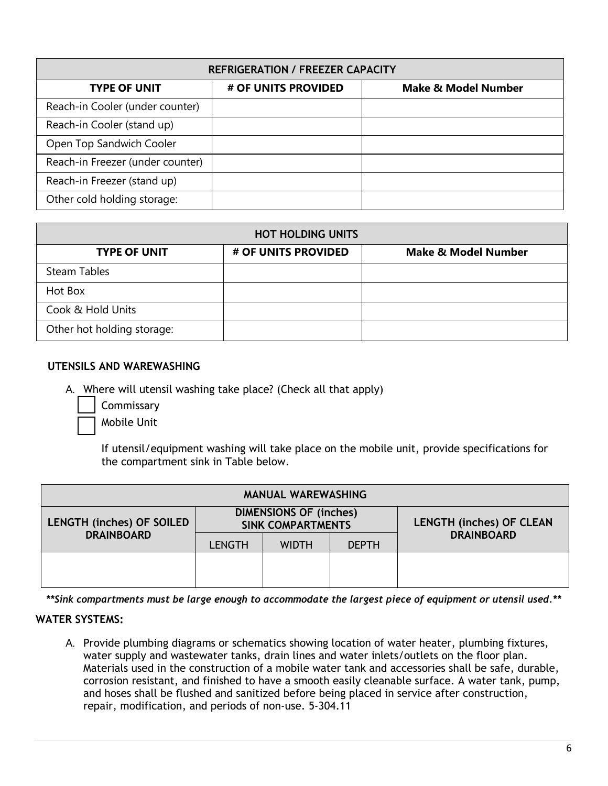| <b>REFRIGERATION / FREEZER CAPACITY</b> |                     |                                |  |  |  |  |
|-----------------------------------------|---------------------|--------------------------------|--|--|--|--|
| <b>TYPE OF UNIT</b>                     | # OF UNITS PROVIDED | <b>Make &amp; Model Number</b> |  |  |  |  |
| Reach-in Cooler (under counter)         |                     |                                |  |  |  |  |
| Reach-in Cooler (stand up)              |                     |                                |  |  |  |  |
| Open Top Sandwich Cooler                |                     |                                |  |  |  |  |
| Reach-in Freezer (under counter)        |                     |                                |  |  |  |  |
| Reach-in Freezer (stand up)             |                     |                                |  |  |  |  |
| Other cold holding storage:             |                     |                                |  |  |  |  |

| <b>HOT HOLDING UNITS</b>   |                     |                                |  |  |  |  |
|----------------------------|---------------------|--------------------------------|--|--|--|--|
| <b>TYPE OF UNIT</b>        | # OF UNITS PROVIDED | <b>Make &amp; Model Number</b> |  |  |  |  |
| Steam Tables               |                     |                                |  |  |  |  |
| Hot Box                    |                     |                                |  |  |  |  |
| Cook & Hold Units          |                     |                                |  |  |  |  |
| Other hot holding storage: |                     |                                |  |  |  |  |

### **UTENSILS AND WAREWASHING**

A. Where will utensil washing take place? (Check all that apply)

**Commissary** 

Mobile Unit

If utensil/equipment washing will take place on the mobile unit, provide specifications for the compartment sink in Table below.

| <b>MANUAL WAREWASHING</b>        |                                                           |              |              |                                 |  |
|----------------------------------|-----------------------------------------------------------|--------------|--------------|---------------------------------|--|
| <b>LENGTH (inches) OF SOILED</b> | <b>DIMENSIONS OF (inches)</b><br><b>SINK COMPARTMENTS</b> |              |              | <b>LENGTH (inches) OF CLEAN</b> |  |
| <b>DRAINBOARD</b>                | <b>LENGTH</b>                                             | <b>WIDTH</b> | <b>DEPTH</b> | <b>DRAINBOARD</b>               |  |
|                                  |                                                           |              |              |                                 |  |
|                                  |                                                           |              |              |                                 |  |

*\*\*Sink compartments must be large enough to accommodate the largest piece of equipment or utensil used.\*\**

#### **WATER SYSTEMS:**

A. Provide plumbing diagrams or schematics showing location of water heater, plumbing fixtures, water supply and wastewater tanks, drain lines and water inlets/outlets on the floor plan. Materials used in the construction of a mobile water tank and accessories shall be safe, durable, corrosion resistant, and finished to have a smooth easily cleanable surface. A water tank, pump, and hoses shall be flushed and sanitized before being placed in service after construction, repair, modification, and periods of non-use. 5-304.11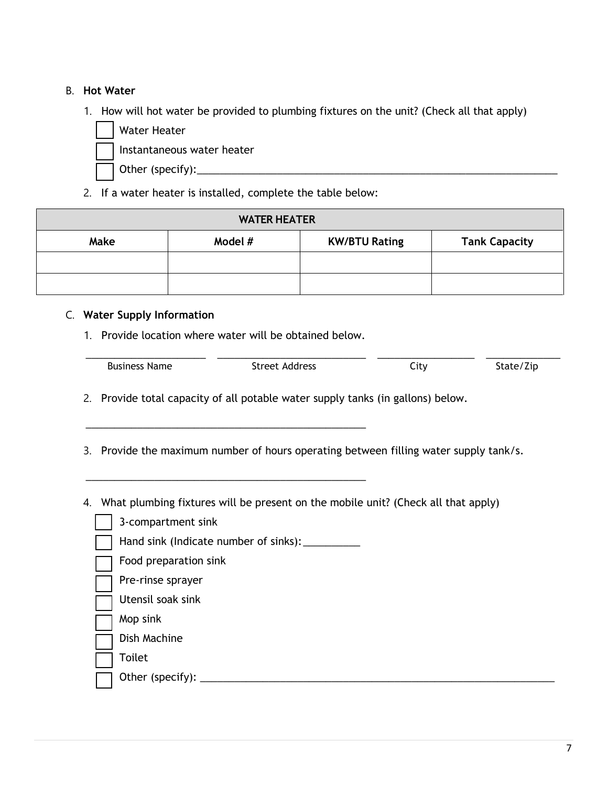### B. **Hot Water**

- 1. How will hot water be provided to plumbing fixtures on the unit? (Check all that apply)
	- Water Heater Instantaneous water heater Other (specify):\_\_\_\_\_\_\_\_\_\_\_\_\_\_\_\_\_\_\_\_\_\_\_\_\_\_\_\_\_\_\_\_\_\_\_\_\_\_\_\_\_\_\_\_\_\_\_\_\_\_\_\_\_\_\_\_\_\_\_\_\_\_\_
- 2. If a water heater is installed, complete the table below:

| <b>WATER HEATER</b>                                             |  |  |  |  |  |
|-----------------------------------------------------------------|--|--|--|--|--|
| Model #<br><b>Tank Capacity</b><br>Make<br><b>KW/BTU Rating</b> |  |  |  |  |  |
|                                                                 |  |  |  |  |  |
|                                                                 |  |  |  |  |  |

### C. **Water Supply Information**

1. Provide location where water will be obtained below.

\_\_\_\_\_\_\_\_\_\_\_\_\_\_\_\_\_\_\_\_\_\_\_\_\_\_\_\_\_\_\_\_\_\_\_\_\_\_\_\_\_\_\_\_\_\_\_\_\_

\_\_\_\_\_\_\_\_\_\_\_\_\_\_\_\_\_\_\_\_\_\_\_\_\_\_\_\_\_\_\_\_\_\_\_\_\_\_\_\_\_\_\_\_\_\_\_\_\_

| <b>Business Name</b> | Street Address | Jtv. | $\cdot$ – $\cdot$<br>state/Zip |
|----------------------|----------------|------|--------------------------------|

- 2. Provide total capacity of all potable water supply tanks (in gallons) below.
- 3. Provide the maximum number of hours operating between filling water supply tank/s.
- 4. What plumbing fixtures will be present on the mobile unit? (Check all that apply)
	- 3-compartment sink
	- Hand sink (Indicate number of sinks): \_\_\_\_\_\_\_\_\_\_
	- Food preparation sink
	- Pre-rinse sprayer
	- Utensil soak sink
	- Mop sink
	- Dish Machine
	- Toilet
		- Other (specify): \_\_\_\_\_\_\_\_\_\_\_\_\_\_\_\_\_\_\_\_\_\_\_\_\_\_\_\_\_\_\_\_\_\_\_\_\_\_\_\_\_\_\_\_\_\_\_\_\_\_\_\_\_\_\_\_\_\_\_\_\_\_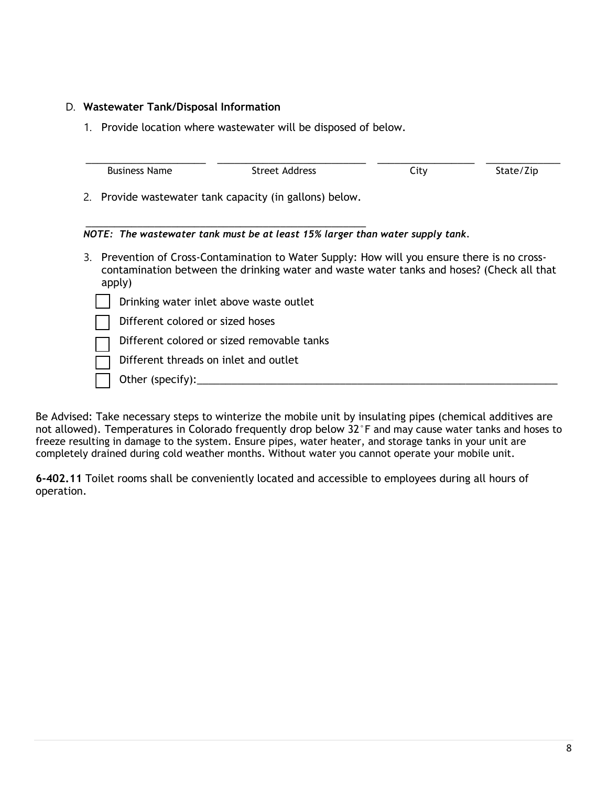### D. **Wastewater Tank/Disposal Information**

1. Provide location where wastewater will be disposed of below.

| <b>Business Name</b>                       | Street Address                                                                                                                                                                            | City | State/Zip |
|--------------------------------------------|-------------------------------------------------------------------------------------------------------------------------------------------------------------------------------------------|------|-----------|
|                                            | 2. Provide wastewater tank capacity (in gallons) below.                                                                                                                                   |      |           |
|                                            | NOTE: The wastewater tank must be at least 15% larger than water supply tank.                                                                                                             |      |           |
| apply)                                     | 3. Prevention of Cross-Contamination to Water Supply: How will you ensure there is no cross-<br>contamination between the drinking water and waste water tanks and hoses? (Check all that |      |           |
|                                            | Drinking water inlet above waste outlet                                                                                                                                                   |      |           |
| Different colored or sized hoses           |                                                                                                                                                                                           |      |           |
| Different colored or sized removable tanks |                                                                                                                                                                                           |      |           |
| Different threads on inlet and outlet      |                                                                                                                                                                                           |      |           |
| Other (specify): $\_$                      |                                                                                                                                                                                           |      |           |
|                                            |                                                                                                                                                                                           |      |           |

Be Advised: Take necessary steps to winterize the mobile unit by insulating pipes (chemical additives are not allowed). Temperatures in Colorado frequently drop below 32°F and may cause water tanks and hoses to freeze resulting in damage to the system. Ensure pipes, water heater, and storage tanks in your unit are completely drained during cold weather months. Without water you cannot operate your mobile unit.

**6-402.11** Toilet rooms shall be conveniently located and accessible to employees during all hours of operation.